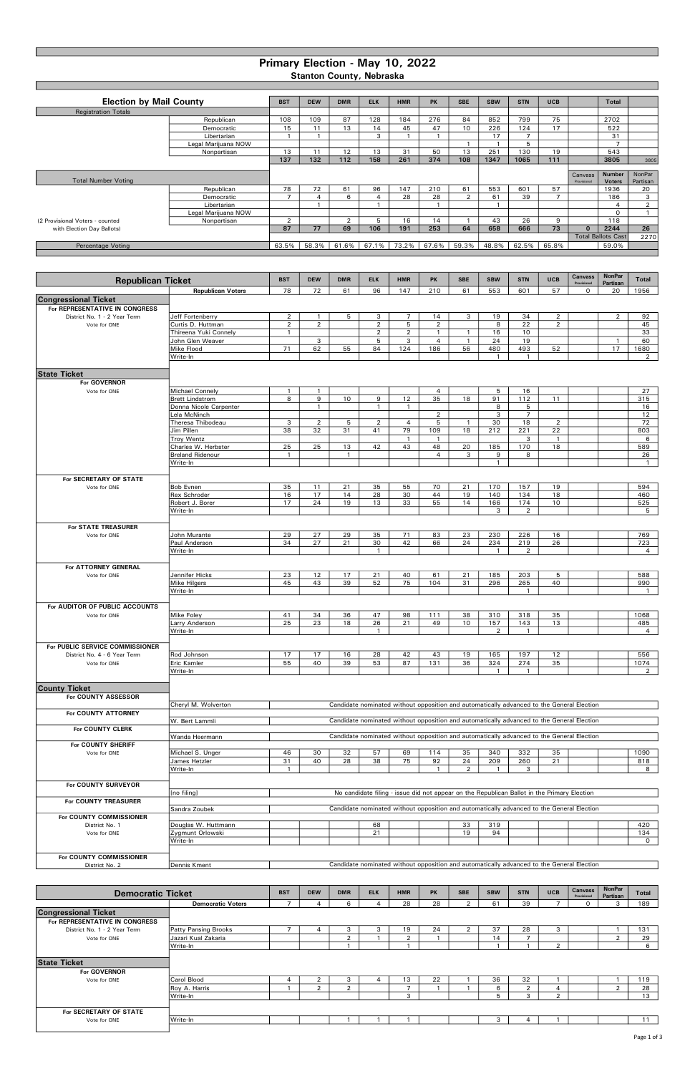BST | DEW | DMR | ELK | HMR | PK | SBE | SBW | STN | UCB | | Total Registration Totals Republican | 108 | 109 | 87 | 128 | 184 | 276 | 84 | 852 | 799 | 75 | | 2702 Democratic 15 11 13 14 45 47 10 226 124 17 522 Libertarian | 1 | 1 | 1 | 3 | 1 | 1 | 1 | 17 | 7 | | | | 31 Legal Marijuana NOW 1 1 5 7 Nonpartisan 13 11 12 13 31 50 13 251 130 19 543 137 | 132 | 112 | 158 | 261 | 374 | 108 | 1347 | 1065 | 111 | | | | | 3805 | | | | | | | | | | | | | Total Number Voting Canvass Provisional Number **Voters** NonPar Partisan Republican 78 | 72 | 61 | 96 | 147 | 210 | 61 | 553 | 601 | 57 | | 1936 | 20 Democratic | 7 | 4 | 6 | 4 | 28 | 28 | 2 | 61 | 39 | 7 | | 186 | 3 Libertarian 1 1 1 1 4 2 Legal Marijuana NOW 0 1 (2 Provisional Voters - counted Nonpartisan 2 2 5 16 14 1 43 26 9 118<br>
with Election Day Ballots) **118**<br>
2 37 77 69 106 191 253 64 658 666 73 0 2244 with Election Day Ballots) **12244** 26 2270 Percentage Voting **Fig. 2016** 63.5% 63.5% 63.5% 63.5% 61.6% 67.1% 73.2% 67.6% 59.3% 48.8% 62.5% 65.8% 65.8% 69.0% BST DEW DMR ELK HMR PK SBE SBW STN UCB Canvass Provisional **NonPar** Partisan Total<br>20 1956 Republican Voters 78 72 61 96 147 210 61 553 601 57 0 Congressional Ticket For REPRESENTATIVE IN CONGRESS Republican Ticket Election by Mail County Total Ballots Cast

| <b>CONGRESSIONAL LIGREL</b><br>For REPRESENTATIVE IN CONGRESS |                                                                                                             |                |                |              |                |                |                                                                                           |                |              |                     |                |  |                |                        |
|---------------------------------------------------------------|-------------------------------------------------------------------------------------------------------------|----------------|----------------|--------------|----------------|----------------|-------------------------------------------------------------------------------------------|----------------|--------------|---------------------|----------------|--|----------------|------------------------|
| District No. 1 - 2 Year Term                                  | Jeff Fortenberry                                                                                            | $\overline{2}$ | $\mathbf{1}$   | 5            | 3              | $\overline{7}$ | 14                                                                                        | 3              | 19           | 34                  | $\overline{2}$ |  | $\overline{2}$ | 92                     |
| Vote for ONE                                                  | Curtis D. Huttman                                                                                           | $\overline{2}$ | $\overline{2}$ |              | $\overline{2}$ | 5              | $\overline{2}$                                                                            |                | 8            | 22                  | 2              |  |                | 45                     |
|                                                               | Thireena Yuki Connely                                                                                       | $\mathbf{1}$   |                |              | $\overline{2}$ | $\overline{2}$ | $\mathbf{1}$                                                                              | $\mathbf{1}$   | 16           | 10                  |                |  |                | 33                     |
|                                                               | John Glen Weaver                                                                                            |                | 3              |              | 5              | 3              | $\overline{4}$                                                                            | $\overline{1}$ | 24           | 19                  |                |  | $\overline{1}$ | 60                     |
|                                                               |                                                                                                             | 71             | 62             | 55           | 84             | 124            | 186                                                                                       | 56             | 480          |                     | 52             |  | 17             |                        |
|                                                               | Mike Flood                                                                                                  |                |                |              |                |                |                                                                                           |                | $\mathbf{1}$ | 493<br>$\mathbf{1}$ |                |  |                | 1680<br>$\overline{2}$ |
|                                                               | Write-In                                                                                                    |                |                |              |                |                |                                                                                           |                |              |                     |                |  |                |                        |
| <b>State Ticket</b>                                           |                                                                                                             |                |                |              |                |                |                                                                                           |                |              |                     |                |  |                |                        |
| For GOVERNOR                                                  |                                                                                                             |                |                |              |                |                |                                                                                           |                |              |                     |                |  |                |                        |
| Vote for ONE                                                  | <b>Michael Connely</b>                                                                                      | $\mathbf{1}$   | $\mathbf{1}$   |              |                |                | $\overline{4}$                                                                            |                | 5            | 16                  |                |  |                | 27                     |
|                                                               | <b>Brett Lindstrom</b>                                                                                      | 8              | 9              | 10           | 9              | 12             | 35                                                                                        | 18             | 91           | 112                 | 11             |  |                | 315                    |
|                                                               | Donna Nicole Carpenter                                                                                      |                | $\mathbf{1}$   |              | $\mathbf{1}$   | $\mathbf{1}$   |                                                                                           |                | 8            | 5                   |                |  |                | 16                     |
|                                                               | Lela McNinch                                                                                                |                |                |              |                |                | $\overline{2}$                                                                            |                | 3            | $\overline{7}$      |                |  |                | 12                     |
|                                                               | Theresa Thibodeau                                                                                           | 3              | 2              | 5            | 2              | $\overline{4}$ | 5                                                                                         | $\overline{1}$ | 30           | 18                  | 2              |  |                | 72                     |
|                                                               | Jim Pillen                                                                                                  | 38             | 32             | 31           | 41             | 79             | 109                                                                                       | 18             | 212          | 221                 | 22             |  |                | 803                    |
|                                                               | Troy Wentz                                                                                                  |                |                |              |                | $\overline{1}$ | $\mathbf{1}$                                                                              |                |              | 3                   | $\overline{1}$ |  |                | 6                      |
|                                                               | Charles W. Herbster                                                                                         | 25             | 25             | 13           | 42             | 43             | 48                                                                                        | 20             | 185          | 170                 | 18             |  |                | 589                    |
|                                                               | <b>Breland Ridenour</b>                                                                                     | $\mathbf{1}$   |                | $\mathbf{1}$ |                |                | 4                                                                                         | 3              | 9            | 8                   |                |  |                | 26                     |
|                                                               | Write-In                                                                                                    |                |                |              |                |                |                                                                                           |                | $\mathbf{1}$ |                     |                |  |                | $\overline{1}$         |
|                                                               |                                                                                                             |                |                |              |                |                |                                                                                           |                |              |                     |                |  |                |                        |
| For SECRETARY OF STATE                                        |                                                                                                             |                |                |              |                |                |                                                                                           |                |              |                     |                |  |                |                        |
| Vote for ONE                                                  | <b>Bob Evnen</b>                                                                                            | 35             | 11             | 21           | 35             | 55             | 70                                                                                        | 21             | 170          | 157                 | 19             |  |                | 594                    |
|                                                               | Rex Schroder                                                                                                | 16             | 17             | 14           | 28             | 30             | 44                                                                                        | 19             | 140          | 134                 | 18             |  |                | 460                    |
|                                                               | Robert J. Borer                                                                                             | 17             | 24             | 19           | 13             | 33             | 55                                                                                        | 14             | 166          | 174                 | 10             |  |                | 525                    |
|                                                               |                                                                                                             |                |                |              |                |                |                                                                                           |                |              |                     |                |  |                |                        |
|                                                               | Write-In                                                                                                    |                |                |              |                |                |                                                                                           |                | 3            | $\overline{2}$      |                |  |                | 5                      |
| For STATE TREASURER                                           |                                                                                                             |                |                |              |                |                |                                                                                           |                |              |                     |                |  |                |                        |
|                                                               | John Murante                                                                                                |                |                |              |                |                |                                                                                           |                |              |                     |                |  |                |                        |
| Vote for ONE                                                  |                                                                                                             | 29             | 27             | 29           | 35             | 71             | 83                                                                                        | 23             | 230          | 226                 | 16             |  |                | 769                    |
|                                                               | Paul Anderson                                                                                               | 34             | 27             | 21           | 30             | 42             | 66                                                                                        | 24             | 234          | 219                 | 26             |  |                | 723                    |
|                                                               | Write-In                                                                                                    |                |                |              | $\overline{1}$ |                |                                                                                           |                | $\mathbf{1}$ | $\overline{2}$      |                |  |                | $\overline{4}$         |
|                                                               |                                                                                                             |                |                |              |                |                |                                                                                           |                |              |                     |                |  |                |                        |
| For ATTORNEY GENERAL                                          |                                                                                                             |                |                |              |                |                |                                                                                           |                |              |                     |                |  |                |                        |
| Vote for ONE                                                  | Jennifer Hicks                                                                                              | 23             | 12             | 17           | 21             | 40             | 61                                                                                        | 21             | 185          | 203                 | 5              |  |                | 588                    |
|                                                               | <b>Mike Hilgers</b>                                                                                         | 45             | 43             | 39           | 52             | 75             | 104                                                                                       | 31             | 296          | 265                 | 40             |  |                | 990                    |
|                                                               | Write-In                                                                                                    |                |                |              |                |                |                                                                                           |                |              | $\mathbf{1}$        |                |  |                | $\mathbf{1}$           |
|                                                               |                                                                                                             |                |                |              |                |                |                                                                                           |                |              |                     |                |  |                |                        |
| For AUDITOR OF PUBLIC ACCOUNTS                                |                                                                                                             |                |                |              |                |                |                                                                                           |                |              |                     |                |  |                |                        |
| Vote for ONE                                                  | Mike Foley                                                                                                  | 41             | 34             | 36           | 47             | 98             | 111                                                                                       | 38             | 310          | 318                 | 35             |  |                | 1068                   |
|                                                               | Larry Anderson                                                                                              | 25             | 23             | 18           | 26             | 21             | 49                                                                                        | 10             | 157          | 143                 | 13             |  |                | 485                    |
|                                                               | Write-In                                                                                                    |                |                |              | $\overline{1}$ |                |                                                                                           |                | 2            | $\mathbf{1}$        |                |  |                | $\overline{4}$         |
|                                                               |                                                                                                             |                |                |              |                |                |                                                                                           |                |              |                     |                |  |                |                        |
| For PUBLIC SERVICE COMMISSIONER                               |                                                                                                             |                |                |              |                |                |                                                                                           |                |              |                     |                |  |                |                        |
| District No. 4 - 6 Year Term                                  | Rod Johnson                                                                                                 | 17             | 17             | 16           | 28             | 42             | 43                                                                                        | 19             | 165          | 197                 | 12             |  |                | 556                    |
| Vote for ONE                                                  | Eric Kamler                                                                                                 | 55             | 40             | 39           | 53             | 87             | 131                                                                                       | 36             | 324          | 274                 | 35             |  |                | 1074                   |
|                                                               | Write-In                                                                                                    |                |                |              |                |                |                                                                                           |                | $\mathbf{1}$ | $\overline{1}$      |                |  |                | $\overline{2}$         |
|                                                               |                                                                                                             |                |                |              |                |                |                                                                                           |                |              |                     |                |  |                |                        |
| <b>County Ticket</b>                                          |                                                                                                             |                |                |              |                |                |                                                                                           |                |              |                     |                |  |                |                        |
| For COUNTY ASSESSOR                                           |                                                                                                             |                |                |              |                |                |                                                                                           |                |              |                     |                |  |                |                        |
|                                                               | Cheryl M. Wolverton                                                                                         |                |                |              |                |                | Candidate nominated without opposition and automatically advanced to the General Election |                |              |                     |                |  |                |                        |
| For COUNTY ATTORNEY                                           |                                                                                                             |                |                |              |                |                |                                                                                           |                |              |                     |                |  |                |                        |
|                                                               | Candidate nominated without opposition and automatically advanced to the General Election<br>W. Bert Lammli |                |                |              |                |                |                                                                                           |                |              |                     |                |  |                |                        |
| For COUNTY CLERK                                              |                                                                                                             |                |                |              |                |                |                                                                                           |                |              |                     |                |  |                |                        |
|                                                               | Wanda Heermann                                                                                              |                |                |              |                |                | Candidate nominated without opposition and automatically advanced to the General Election |                |              |                     |                |  |                |                        |
| For COUNTY SHERIFF                                            |                                                                                                             |                |                |              |                |                |                                                                                           |                |              |                     |                |  |                |                        |
| Vote for ONE                                                  | Michael S. Unger                                                                                            | 46             | 30             | 32           | 57             | 69             | 114                                                                                       | 35             | 340          | 332                 | 35             |  |                | 1090                   |
|                                                               | James Hetzler                                                                                               | 31             | 40             | 28           | 38             | 75             | 92                                                                                        | 24             | 209          | 260                 | 21             |  |                | 818                    |
|                                                               | Write-In                                                                                                    | 1              |                |              |                |                | $\mathbf{1}$                                                                              | $\overline{2}$ | $\mathbf{1}$ | 3                   |                |  |                | 8                      |
|                                                               |                                                                                                             |                |                |              |                |                |                                                                                           |                |              |                     |                |  |                |                        |

For COUNTY SURVEYOR

| <b>Democratic Ticket</b>            |                             | <b>BST</b> | <b>DEW</b> | <b>DMR</b> | <b>ELK</b> | <b>HMR</b> | <b>PK</b> | <b>SBE</b>     | <b>SBW</b> | <b>STN</b> | <b>UCB</b>     | Canvass<br>Provisional | <b>NonPar</b><br>Partisan | Total |
|-------------------------------------|-----------------------------|------------|------------|------------|------------|------------|-----------|----------------|------------|------------|----------------|------------------------|---------------------------|-------|
|                                     | <b>Democratic Voters</b>    |            |            | 6          | 4          | 28         | 28        | $\overline{2}$ | 61         | 39         |                | 0                      | 3                         | 189   |
| <b>Congressional Ticket</b>         |                             |            |            |            |            |            |           |                |            |            |                |                        |                           |       |
| For REPRESENTATIVE IN CONGRESS      |                             |            |            |            |            |            |           |                |            |            |                |                        |                           |       |
| District No. 1 - 2 Year Term        | <b>Patty Pansing Brooks</b> |            |            | 3          | 3          | 19         | 24        | C              | 37         | 28         | 3              |                        |                           | 131   |
| Vote for ONE                        | Jazari Kual Zakaria         |            |            |            |            |            |           |                | 14         |            |                |                        |                           | 29    |
|                                     | Write-In                    |            |            |            |            |            |           |                |            |            | ◠              |                        |                           | 6     |
| <b>State Ticket</b><br>For GOVERNOR |                             |            |            |            |            |            |           |                |            |            |                |                        |                           |       |
| Vote for ONE                        | Carol Blood                 | 4          | ົ          | 3          | 4          | 13         | 22        |                | 36         | 32         |                |                        |                           | 119   |
|                                     | Roy A. Harris               |            | ົ          | ◠          |            |            |           |                | 6          | $\sim$     | $\overline{a}$ |                        | $\sim$                    | 28    |
|                                     | Write-In                    |            |            |            |            | $\sim$     |           |                | 5          | ર          | ົ              |                        |                           | 13    |
| For SECRETARY OF STATE              |                             |            |            |            |            |            |           |                |            |            |                |                        |                           |       |
| Vote for ONE                        | Write-In                    |            |            |            |            |            |           |                | з          |            |                |                        |                           | 11    |

|                                | [no filing]         | No candidate filing - issue did not appear on the Republican Ballot in the Primary Election |                                                                                           |    |     |  |  |     |  |  |  |  |  |
|--------------------------------|---------------------|---------------------------------------------------------------------------------------------|-------------------------------------------------------------------------------------------|----|-----|--|--|-----|--|--|--|--|--|
| <b>For COUNTY TREASURER</b>    |                     |                                                                                             |                                                                                           |    |     |  |  |     |  |  |  |  |  |
|                                | Sandra Zoubek       | Candidate nominated without opposition and automatically advanced to the General Election   |                                                                                           |    |     |  |  |     |  |  |  |  |  |
| <b>For COUNTY COMMISSIONER</b> |                     |                                                                                             |                                                                                           |    |     |  |  |     |  |  |  |  |  |
| District No. 1                 | Douglas W. Huttmann |                                                                                             | 68                                                                                        | 33 | 319 |  |  | 420 |  |  |  |  |  |
| Vote for ONE                   | Zygmunt Orlowski    | 134<br>21<br>94<br>19                                                                       |                                                                                           |    |     |  |  |     |  |  |  |  |  |
|                                | Write-In            |                                                                                             |                                                                                           |    |     |  |  |     |  |  |  |  |  |
|                                |                     |                                                                                             |                                                                                           |    |     |  |  |     |  |  |  |  |  |
| <b>For COUNTY COMMISSIONER</b> |                     |                                                                                             |                                                                                           |    |     |  |  |     |  |  |  |  |  |
| District No. 2                 | Dennis Kment        |                                                                                             | Candidate nominated without opposition and automatically advanced to the General Election |    |     |  |  |     |  |  |  |  |  |

## Primary Election - May 10, 2022 Stanton County, Nebraska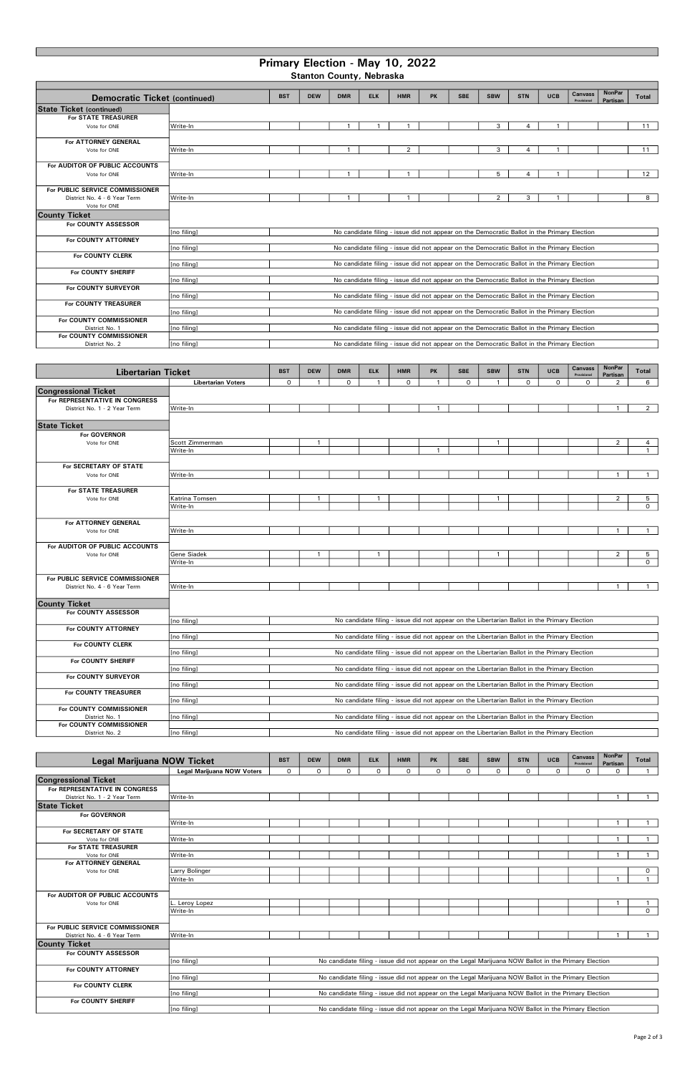## Primary Election - May 10, 2022

Stanton County, Nebraska

| Democratic Ticket (continued)   |             | <b>BST</b> | <b>DEW</b> | <b>DMR</b> | <b>ELK</b> | <b>HMR</b>                                                                                  | <b>PK</b> | <b>SBE</b> | <b>SBW</b>     | <b>STN</b>     | <b>UCB</b> | <b>Canvass</b><br>Provisional | <b>NonPar</b><br>Partisan | <b>Total</b> |
|---------------------------------|-------------|------------|------------|------------|------------|---------------------------------------------------------------------------------------------|-----------|------------|----------------|----------------|------------|-------------------------------|---------------------------|--------------|
| <b>State Ticket (continued)</b> |             |            |            |            |            |                                                                                             |           |            |                |                |            |                               |                           |              |
| <b>For STATE TREASURER</b>      |             |            |            |            |            |                                                                                             |           |            |                |                |            |                               |                           |              |
| Vote for ONE                    | Write-In    |            |            |            |            |                                                                                             |           |            | 3              | $\overline{4}$ |            |                               |                           | 11           |
|                                 |             |            |            |            |            |                                                                                             |           |            |                |                |            |                               |                           |              |
| For ATTORNEY GENERAL            |             |            |            |            |            |                                                                                             |           |            |                |                |            |                               |                           |              |
| Vote for ONE                    | Write-In    |            |            |            |            | $\overline{2}$                                                                              |           |            | 3              | 4              |            |                               |                           | 11           |
|                                 |             |            |            |            |            |                                                                                             |           |            |                |                |            |                               |                           |              |
| For AUDITOR OF PUBLIC ACCOUNTS  |             |            |            |            |            |                                                                                             |           |            |                |                |            |                               |                           |              |
| Vote for ONE                    | Write-In    |            |            |            |            |                                                                                             |           |            | 5              | 4              |            |                               |                           | 12           |
|                                 |             |            |            |            |            |                                                                                             |           |            |                |                |            |                               |                           |              |
| For PUBLIC SERVICE COMMISSIONER |             |            |            |            |            |                                                                                             |           |            |                |                |            |                               |                           |              |
| District No. 4 - 6 Year Term    | Write-In    |            |            |            |            |                                                                                             |           |            | $\overline{2}$ | 3              |            |                               |                           | 8            |
| Vote for ONE                    |             |            |            |            |            |                                                                                             |           |            |                |                |            |                               |                           |              |
| <b>County Ticket</b>            |             |            |            |            |            |                                                                                             |           |            |                |                |            |                               |                           |              |
| For COUNTY ASSESSOR             |             |            |            |            |            |                                                                                             |           |            |                |                |            |                               |                           |              |
|                                 | [no filing] |            |            |            |            | No candidate filing - issue did not appear on the Democratic Ballot in the Primary Election |           |            |                |                |            |                               |                           |              |
| For COUNTY ATTORNEY             |             |            |            |            |            |                                                                                             |           |            |                |                |            |                               |                           |              |
|                                 | [no filing] |            |            |            |            | No candidate filing - issue did not appear on the Democratic Ballot in the Primary Election |           |            |                |                |            |                               |                           |              |
| For COUNTY CLERK                |             |            |            |            |            |                                                                                             |           |            |                |                |            |                               |                           |              |
|                                 | [no filing] |            |            |            |            | No candidate filing - issue did not appear on the Democratic Ballot in the Primary Election |           |            |                |                |            |                               |                           |              |
| For COUNTY SHERIFF              |             |            |            |            |            |                                                                                             |           |            |                |                |            |                               |                           |              |
|                                 | [no filing] |            |            |            |            | No candidate filing - issue did not appear on the Democratic Ballot in the Primary Election |           |            |                |                |            |                               |                           |              |
| For COUNTY SURVEYOR             |             |            |            |            |            |                                                                                             |           |            |                |                |            |                               |                           |              |
|                                 | [no filing] |            |            |            |            | No candidate filing - issue did not appear on the Democratic Ballot in the Primary Election |           |            |                |                |            |                               |                           |              |
| For COUNTY TREASURER            |             |            |            |            |            |                                                                                             |           |            |                |                |            |                               |                           |              |
|                                 | [no filing] |            |            |            |            | No candidate filing - issue did not appear on the Democratic Ballot in the Primary Election |           |            |                |                |            |                               |                           |              |
| For COUNTY COMMISSIONER         |             |            |            |            |            |                                                                                             |           |            |                |                |            |                               |                           |              |
| District No. 1                  | [no filing] |            |            |            |            | No candidate filing - issue did not appear on the Democratic Ballot in the Primary Election |           |            |                |                |            |                               |                           |              |
| For COUNTY COMMISSIONER         |             |            |            |            |            |                                                                                             |           |            |                |                |            |                               |                           |              |
| District No. 2                  | [no filing] |            |            |            |            | No candidate filing - issue did not appear on the Democratic Ballot in the Primary Election |           |            |                |                |            |                               |                           |              |

| <b>Legal Marijuana NOW Ticket</b> |                                                                                                                     | <b>BST</b>  | <b>DEW</b>   | <b>DMR</b> | <b>ELK</b>   | <b>HMR</b> | <b>PK</b>    | <b>SBE</b> | <b>SBW</b> | <b>STN</b> | <b>UCB</b> | Canvass<br>Provisional                                                                               | <b>NonPar</b><br>Partisan | Total        |
|-----------------------------------|---------------------------------------------------------------------------------------------------------------------|-------------|--------------|------------|--------------|------------|--------------|------------|------------|------------|------------|------------------------------------------------------------------------------------------------------|---------------------------|--------------|
|                                   | <b>Legal Marijuana NOW Voters</b>                                                                                   | $\mathbf 0$ | $\mathsf{O}$ | 0          | $\mathsf{O}$ | $\circ$    | $\mathsf{o}$ | 0          | 0          | $\Omega$   | $\Omega$   | $\circ$                                                                                              | 0                         | $\mathbf{1}$ |
| <b>Congressional Ticket</b>       |                                                                                                                     |             |              |            |              |            |              |            |            |            |            |                                                                                                      |                           |              |
| For REPRESENTATIVE IN CONGRESS    |                                                                                                                     |             |              |            |              |            |              |            |            |            |            |                                                                                                      |                           |              |
| District No. 1 - 2 Year Term      | Write-In                                                                                                            |             |              |            |              |            |              |            |            |            |            |                                                                                                      |                           |              |
| <b>State Ticket</b>               |                                                                                                                     |             |              |            |              |            |              |            |            |            |            |                                                                                                      |                           |              |
| For GOVERNOR                      |                                                                                                                     |             |              |            |              |            |              |            |            |            |            |                                                                                                      |                           |              |
|                                   | Write-In                                                                                                            |             |              |            |              |            |              |            |            |            |            |                                                                                                      |                           | $\mathbf{1}$ |
| For SECRETARY OF STATE            |                                                                                                                     |             |              |            |              |            |              |            |            |            |            |                                                                                                      |                           |              |
| Vote for ONE                      | Write-In                                                                                                            |             |              |            |              |            |              |            |            |            |            |                                                                                                      |                           | $\mathbf{1}$ |
| <b>For STATE TREASURER</b>        |                                                                                                                     |             |              |            |              |            |              |            |            |            |            |                                                                                                      |                           |              |
| Vote for ONE                      | Write-In                                                                                                            |             |              |            |              |            |              |            |            |            |            |                                                                                                      |                           |              |
| For ATTORNEY GENERAL              |                                                                                                                     |             |              |            |              |            |              |            |            |            |            |                                                                                                      |                           |              |
| Vote for ONE                      | Larry Bolinger                                                                                                      |             |              |            |              |            |              |            |            |            |            |                                                                                                      |                           | $\circ$      |
|                                   | Write-In                                                                                                            |             |              |            |              |            |              |            |            |            |            |                                                                                                      |                           | $\mathbf{1}$ |
|                                   |                                                                                                                     |             |              |            |              |            |              |            |            |            |            |                                                                                                      |                           |              |
| For AUDITOR OF PUBLIC ACCOUNTS    |                                                                                                                     |             |              |            |              |            |              |            |            |            |            |                                                                                                      |                           |              |
| Vote for ONE                      | . Leroy Lopez                                                                                                       |             |              |            |              |            |              |            |            |            |            |                                                                                                      |                           |              |
|                                   | Write-In                                                                                                            |             |              |            |              |            |              |            |            |            |            |                                                                                                      |                           | $\circ$      |
|                                   |                                                                                                                     |             |              |            |              |            |              |            |            |            |            |                                                                                                      |                           |              |
| For PUBLIC SERVICE COMMISSIONER   |                                                                                                                     |             |              |            |              |            |              |            |            |            |            |                                                                                                      |                           |              |
| District No. 4 - 6 Year Term      | Write-In                                                                                                            |             |              |            |              |            |              |            |            |            |            |                                                                                                      |                           |              |
| <b>County Ticket</b>              |                                                                                                                     |             |              |            |              |            |              |            |            |            |            |                                                                                                      |                           |              |
| For COUNTY ASSESSOR               |                                                                                                                     |             |              |            |              |            |              |            |            |            |            |                                                                                                      |                           |              |
|                                   | [no filing]                                                                                                         |             |              |            |              |            |              |            |            |            |            | No candidate filing - issue did not appear on the Legal Marijuana NOW Ballot in the Primary Election |                           |              |
| For COUNTY ATTORNEY               |                                                                                                                     |             |              |            |              |            |              |            |            |            |            |                                                                                                      |                           |              |
|                                   | [no filing]                                                                                                         |             |              |            |              |            |              |            |            |            |            | No candidate filing - issue did not appear on the Legal Marijuana NOW Ballot in the Primary Election |                           |              |
| For COUNTY CLERK                  |                                                                                                                     |             |              |            |              |            |              |            |            |            |            |                                                                                                      |                           |              |
|                                   | [no filing]<br>No candidate filing - issue did not appear on the Legal Marijuana NOW Ballot in the Primary Election |             |              |            |              |            |              |            |            |            |            |                                                                                                      |                           |              |
| For COUNTY SHERIFF                |                                                                                                                     |             |              |            |              |            |              |            |            |            |            |                                                                                                      |                           |              |
|                                   | [no filing]                                                                                                         |             |              |            |              |            |              |            |            |            |            | No candidate filing - issue did not appear on the Legal Marijuana NOW Ballot in the Primary Election |                           |              |

| <b>Libertarian Ticket</b>       |                           | <b>BST</b>  | <b>DEW</b>   | <b>DMR</b> | <b>ELK</b>   | <b>HMR</b>   | PK                      | <b>SBE</b>                                                                                   | <b>SBW</b>   | <b>STN</b> | <b>UCB</b> | Canvass<br>Provisional | <b>NonPar</b><br>Partisan | <b>Total</b> |
|---------------------------------|---------------------------|-------------|--------------|------------|--------------|--------------|-------------------------|----------------------------------------------------------------------------------------------|--------------|------------|------------|------------------------|---------------------------|--------------|
|                                 | <b>Libertarian Voters</b> | $\mathbf 0$ | $\mathbf{1}$ | $\Omega$   |              | $\mathsf{O}$ | $\overline{\mathbf{1}}$ | $\mathsf{O}$                                                                                 | $\mathbf{1}$ | $\Omega$   | $\Omega$   | $\Omega$               | 2                         | 6            |
| <b>Congressional Ticket</b>     |                           |             |              |            |              |              |                         |                                                                                              |              |            |            |                        |                           |              |
| For REPRESENTATIVE IN CONGRESS  |                           |             |              |            |              |              |                         |                                                                                              |              |            |            |                        |                           |              |
| District No. 1 - 2 Year Term    | Write-In                  |             |              |            |              |              | $\overline{1}$          |                                                                                              |              |            |            |                        | $\mathbf{1}$              | $2^{\circ}$  |
|                                 |                           |             |              |            |              |              |                         |                                                                                              |              |            |            |                        |                           |              |
| <b>State Ticket</b>             |                           |             |              |            |              |              |                         |                                                                                              |              |            |            |                        |                           |              |
| For GOVERNOR                    |                           |             |              |            |              |              |                         |                                                                                              |              |            |            |                        |                           |              |
| Vote for ONE                    | Scott Zimmerman           |             | $\mathbf{1}$ |            |              |              |                         |                                                                                              | $\mathbf{1}$ |            |            |                        | $\overline{2}$            | 4            |
|                                 | Write-In                  |             |              |            |              |              | $\mathbf{1}$            |                                                                                              |              |            |            |                        |                           | $\mathbf{1}$ |
|                                 |                           |             |              |            |              |              |                         |                                                                                              |              |            |            |                        |                           |              |
| For SECRETARY OF STATE          |                           |             |              |            |              |              |                         |                                                                                              |              |            |            |                        |                           |              |
| Vote for ONE                    | Write-In                  |             |              |            |              |              |                         |                                                                                              |              |            |            |                        | $\mathbf{1}$              |              |
|                                 |                           |             |              |            |              |              |                         |                                                                                              |              |            |            |                        |                           |              |
| For STATE TREASURER             |                           |             |              |            |              |              |                         |                                                                                              |              |            |            |                        |                           |              |
| Vote for ONE                    | Katrina Tomsen            |             | $\mathbf{1}$ |            | $\mathbf{1}$ |              |                         |                                                                                              | $\mathbf{1}$ |            |            |                        | $\overline{2}$            | 5            |
|                                 | Write-In                  |             |              |            |              |              |                         |                                                                                              |              |            |            |                        |                           | $\circ$      |
|                                 |                           |             |              |            |              |              |                         |                                                                                              |              |            |            |                        |                           |              |
| For ATTORNEY GENERAL            |                           |             |              |            |              |              |                         |                                                                                              |              |            |            |                        | $\mathbf{1}$              |              |
| Vote for ONE                    | Write-In                  |             |              |            |              |              |                         |                                                                                              |              |            |            |                        |                           | $\mathbf{1}$ |
| For AUDITOR OF PUBLIC ACCOUNTS  |                           |             |              |            |              |              |                         |                                                                                              |              |            |            |                        |                           |              |
| Vote for ONE                    | Gene Siadek               |             | $\mathbf{1}$ |            |              |              |                         |                                                                                              | $\mathbf{1}$ |            |            |                        | 2                         | 5            |
|                                 | Write-In                  |             |              |            |              |              |                         |                                                                                              |              |            |            |                        |                           | $\mathsf{O}$ |
|                                 |                           |             |              |            |              |              |                         |                                                                                              |              |            |            |                        |                           |              |
| For PUBLIC SERVICE COMMISSIONER |                           |             |              |            |              |              |                         |                                                                                              |              |            |            |                        |                           |              |
| District No. 4 - 6 Year Term    | Write-In                  |             |              |            |              |              |                         |                                                                                              |              |            |            |                        | $\mathbf{1}$              | $\mathbf{1}$ |
|                                 |                           |             |              |            |              |              |                         |                                                                                              |              |            |            |                        |                           |              |
| <b>County Ticket</b>            |                           |             |              |            |              |              |                         |                                                                                              |              |            |            |                        |                           |              |
| <b>For COUNTY ASSESSOR</b>      |                           |             |              |            |              |              |                         |                                                                                              |              |            |            |                        |                           |              |
|                                 | [no filing]               |             |              |            |              |              |                         | No candidate filing - issue did not appear on the Libertarian Ballot in the Primary Election |              |            |            |                        |                           |              |
| For COUNTY ATTORNEY             |                           |             |              |            |              |              |                         |                                                                                              |              |            |            |                        |                           |              |
|                                 | [no filing]               |             |              |            |              |              |                         | No candidate filing - issue did not appear on the Libertarian Ballot in the Primary Election |              |            |            |                        |                           |              |
| For COUNTY CLERK                |                           |             |              |            |              |              |                         |                                                                                              |              |            |            |                        |                           |              |
|                                 | [no filing]               |             |              |            |              |              |                         | No candidate filing - issue did not appear on the Libertarian Ballot in the Primary Election |              |            |            |                        |                           |              |
| For COUNTY SHERIFF              |                           |             |              |            |              |              |                         |                                                                                              |              |            |            |                        |                           |              |
|                                 | [no filing]               |             |              |            |              |              |                         | No candidate filing - issue did not appear on the Libertarian Ballot in the Primary Election |              |            |            |                        |                           |              |
| For COUNTY SURVEYOR             |                           |             |              |            |              |              |                         |                                                                                              |              |            |            |                        |                           |              |
|                                 | [no filing]               |             |              |            |              |              |                         | No candidate filing - issue did not appear on the Libertarian Ballot in the Primary Election |              |            |            |                        |                           |              |
| For COUNTY TREASURER            |                           |             |              |            |              |              |                         |                                                                                              |              |            |            |                        |                           |              |
|                                 | [no filing]               |             |              |            |              |              |                         | No candidate filing - issue did not appear on the Libertarian Ballot in the Primary Election |              |            |            |                        |                           |              |
| For COUNTY COMMISSIONER         |                           |             |              |            |              |              |                         |                                                                                              |              |            |            |                        |                           |              |
| District No. 1                  | [no filing]               |             |              |            |              |              |                         | No candidate filing - issue did not appear on the Libertarian Ballot in the Primary Election |              |            |            |                        |                           |              |
| For COUNTY COMMISSIONER         |                           |             |              |            |              |              |                         |                                                                                              |              |            |            |                        |                           |              |
| District No. 2                  | [no filing]               |             |              |            |              |              |                         | No candidate filing - issue did not appear on the Libertarian Ballot in the Primary Election |              |            |            |                        |                           |              |